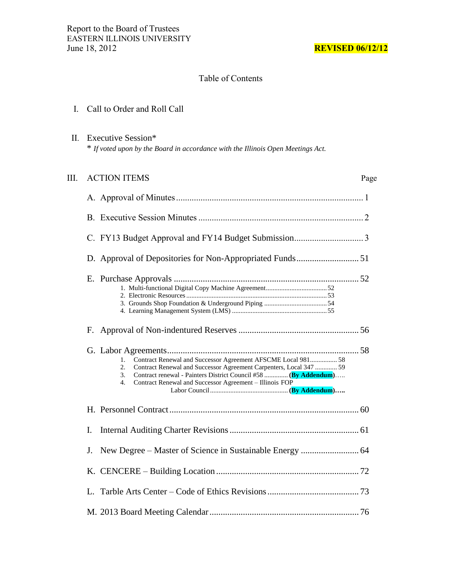## Table of Contents

## I. Call to Order and Roll Call

 II. Executive Session\* \* *If voted upon by the Board in accordance with the Illinois Open Meetings Act.*

| III. | <b>ACTION ITEMS</b>                                                                                                                                                                                                                                                                      | Page |
|------|------------------------------------------------------------------------------------------------------------------------------------------------------------------------------------------------------------------------------------------------------------------------------------------|------|
|      |                                                                                                                                                                                                                                                                                          |      |
|      |                                                                                                                                                                                                                                                                                          |      |
|      |                                                                                                                                                                                                                                                                                          |      |
|      |                                                                                                                                                                                                                                                                                          |      |
|      |                                                                                                                                                                                                                                                                                          |      |
|      |                                                                                                                                                                                                                                                                                          |      |
|      | Contract Renewal and Successor Agreement AFSCME Local 981 58<br>1.<br>Contract Renewal and Successor Agreement Carpenters, Local 347  59<br>2.<br>Contract renewal - Painters District Council #58  (By Addendum)<br>3.<br>Contract Renewal and Successor Agreement - Illinois FOP<br>4. |      |
|      |                                                                                                                                                                                                                                                                                          |      |
|      | Ι.                                                                                                                                                                                                                                                                                       |      |
|      | New Degree - Master of Science in Sustainable Energy  64<br>J.                                                                                                                                                                                                                           |      |
|      |                                                                                                                                                                                                                                                                                          |      |
|      |                                                                                                                                                                                                                                                                                          |      |
|      |                                                                                                                                                                                                                                                                                          |      |